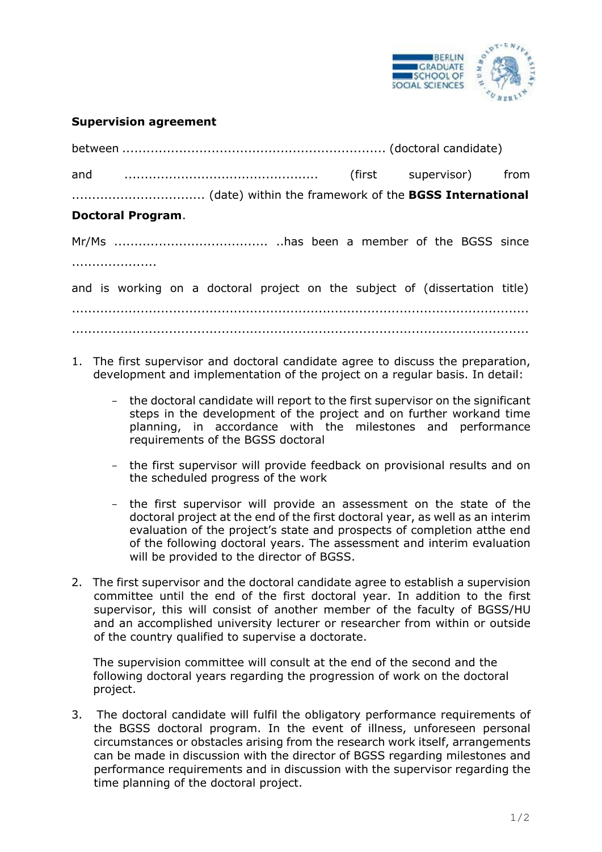

## **Supervision agreement**

| <b>Doctoral Program.</b>                                                    |  |  |  |  |  |
|-----------------------------------------------------------------------------|--|--|--|--|--|
|                                                                             |  |  |  |  |  |
|                                                                             |  |  |  |  |  |
| and is working on a doctoral project on the subject of (dissertation title) |  |  |  |  |  |
|                                                                             |  |  |  |  |  |

1. The first supervisor and doctoral candidate agree to discuss the preparation, development and implementation of the project on a regular basis. In detail:

.................................................................................................................

- the doctoral candidate will report to the first supervisor on the significant steps in the development of the project and on further work and time planning, in accordance with the milestones and performance requirements of the BGSS doctoral
- the first supervisor will provide feedback on provisional results and on the scheduled progress of the work
- the first supervisor will provide an assessment on the state of the doctoral project at the end of the first doctoral year, as well as an interim evaluation of the project's state and prospects of completion at the end of the following doctoral years. The assessment and interim evaluation will be provided to the director of BGSS.
- 2. The first supervisor and the doctoral candidate agree to establish a supervision committee until the end of the first doctoral year. In addition to the first supervisor, this will consist of another member of the faculty of BGSS/HU and an accomplished university lecturer or researcher from within or outside of the country qualified to supervise a doctorate.

The supervision committee will consult at the end of the second and the following doctoral years regarding the progression of work on the doctoral project.

3. The doctoral candidate will fulfil the obligatory performance requirements of the BGSS doctoral program. In the event of illness, unforeseen personal circumstances or obstacles arising from the research work itself, arrangements can be made in discussion with the director of BGSS regarding milestones and performance requirements and in discussion with the supervisor regarding the time planning of the doctoral project.